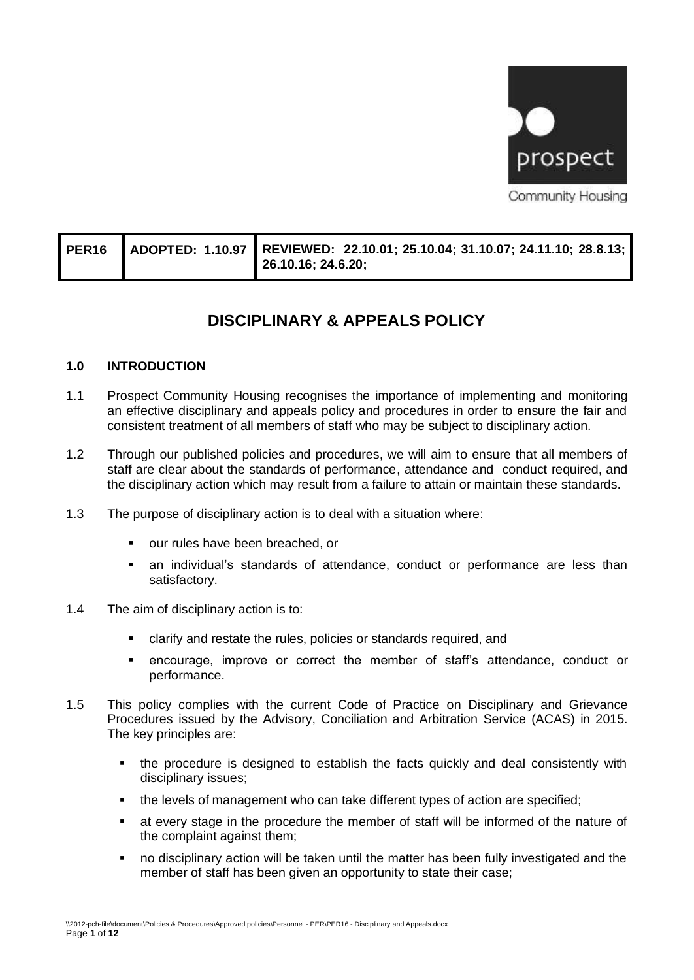

|  |  | PER16 ADOPTED: 1.10.97 REVIEWED: 22.10.01; 25.10.04; 31.10.07; 24.11.10; 28.8.13;<br>26.10.16; 24.6.20; |
|--|--|---------------------------------------------------------------------------------------------------------|
|--|--|---------------------------------------------------------------------------------------------------------|

# **DISCIPLINARY & APPEALS POLICY**

## **1.0 INTRODUCTION**

- 1.1 Prospect Community Housing recognises the importance of implementing and monitoring an effective disciplinary and appeals policy and procedures in order to ensure the fair and consistent treatment of all members of staff who may be subject to disciplinary action.
- 1.2 Through our published policies and procedures, we will aim to ensure that all members of staff are clear about the standards of performance, attendance and conduct required, and the disciplinary action which may result from a failure to attain or maintain these standards.
- 1.3 The purpose of disciplinary action is to deal with a situation where:
	- our rules have been breached, or
	- an individual's standards of attendance, conduct or performance are less than satisfactory.
- 1.4 The aim of disciplinary action is to:
	- clarify and restate the rules, policies or standards required, and
	- encourage, improve or correct the member of staff's attendance, conduct or performance.
- 1.5 This policy complies with the current Code of Practice on Disciplinary and Grievance Procedures issued by the Advisory, Conciliation and Arbitration Service (ACAS) in 2015. The key principles are:
	- the procedure is designed to establish the facts quickly and deal consistently with disciplinary issues;
	- the levels of management who can take different types of action are specified;
	- **■** at every stage in the procedure the member of staff will be informed of the nature of the complaint against them;
	- no disciplinary action will be taken until the matter has been fully investigated and the member of staff has been given an opportunity to state their case;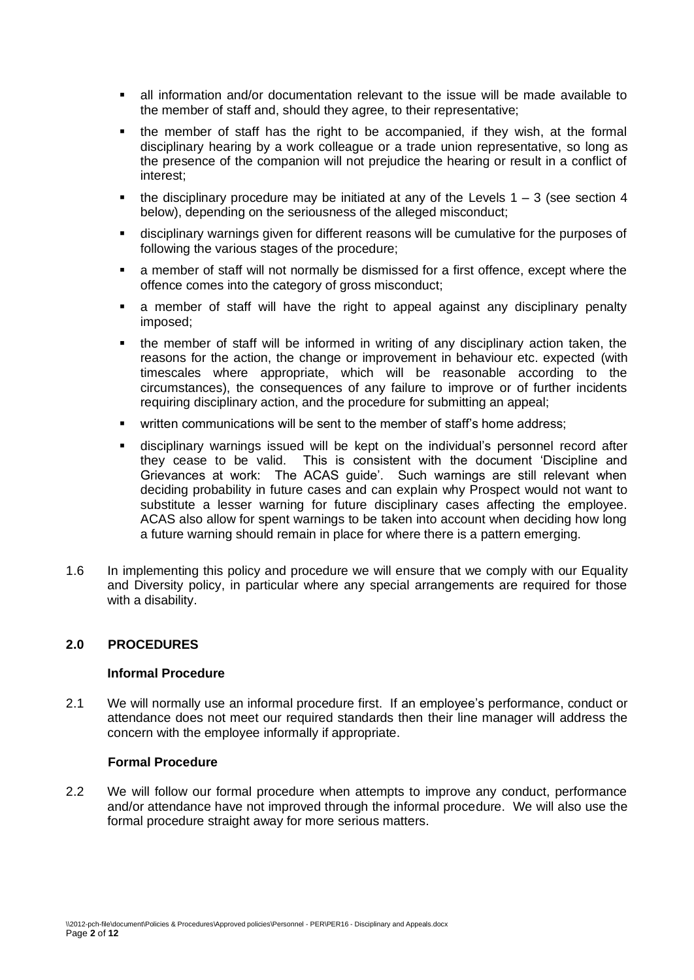- all information and/or documentation relevant to the issue will be made available to the member of staff and, should they agree, to their representative;
- the member of staff has the right to be accompanied, if they wish, at the formal disciplinary hearing by a work colleague or a trade union representative, so long as the presence of the companion will not prejudice the hearing or result in a conflict of interest;
- the disciplinary procedure may be initiated at any of the Levels  $1 3$  (see section 4 below), depending on the seriousness of the alleged misconduct;
- disciplinary warnings given for different reasons will be cumulative for the purposes of following the various stages of the procedure;
- a member of staff will not normally be dismissed for a first offence, except where the offence comes into the category of gross misconduct;
- a member of staff will have the right to appeal against any disciplinary penalty imposed;
- the member of staff will be informed in writing of any disciplinary action taken, the reasons for the action, the change or improvement in behaviour etc. expected (with timescales where appropriate, which will be reasonable according to the circumstances), the consequences of any failure to improve or of further incidents requiring disciplinary action, and the procedure for submitting an appeal;
- written communications will be sent to the member of staff's home address;
- disciplinary warnings issued will be kept on the individual's personnel record after they cease to be valid. This is consistent with the document 'Discipline and Grievances at work: The ACAS guide'. Such warnings are still relevant when deciding probability in future cases and can explain why Prospect would not want to substitute a lesser warning for future disciplinary cases affecting the employee. ACAS also allow for spent warnings to be taken into account when deciding how long a future warning should remain in place for where there is a pattern emerging.
- 1.6 In implementing this policy and procedure we will ensure that we comply with our Equality and Diversity policy, in particular where any special arrangements are required for those with a disability.

# **2.0 PROCEDURES**

## **Informal Procedure**

2.1 We will normally use an informal procedure first. If an employee's performance, conduct or attendance does not meet our required standards then their line manager will address the concern with the employee informally if appropriate.

## **Formal Procedure**

2.2 We will follow our formal procedure when attempts to improve any conduct, performance and/or attendance have not improved through the informal procedure. We will also use the formal procedure straight away for more serious matters.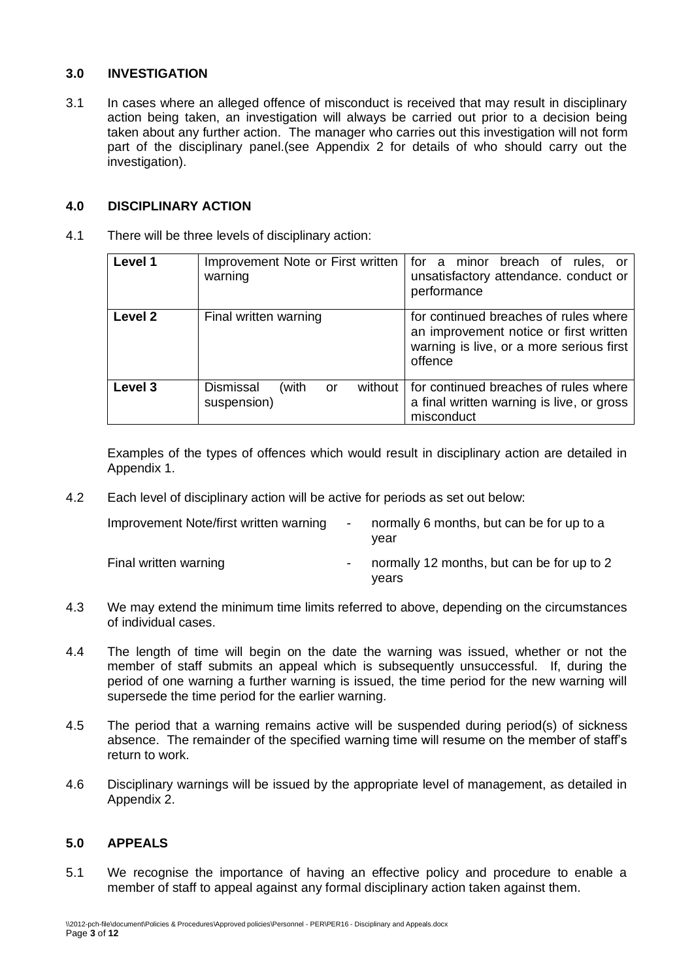# **3.0 INVESTIGATION**

3.1 In cases where an alleged offence of misconduct is received that may result in disciplinary action being taken, an investigation will always be carried out prior to a decision being taken about any further action. The manager who carries out this investigation will not form part of the disciplinary panel.(see Appendix 2 for details of who should carry out the investigation).

## **4.0 DISCIPLINARY ACTION**

4.1 There will be three levels of disciplinary action:

| Level 1 | Improvement Note or First written<br>warning              | for a minor breach of rules, or<br>unsatisfactory attendance. conduct or<br>performance                                                |
|---------|-----------------------------------------------------------|----------------------------------------------------------------------------------------------------------------------------------------|
| Level 2 | Final written warning                                     | for continued breaches of rules where<br>an improvement notice or first written<br>warning is live, or a more serious first<br>offence |
| Level 3 | <b>Dismissal</b><br>(with<br>without<br>or<br>suspension) | for continued breaches of rules where<br>a final written warning is live, or gross<br>misconduct                                       |

Examples of the types of offences which would result in disciplinary action are detailed in Appendix 1.

4.2 Each level of disciplinary action will be active for periods as set out below:

| Improvement Note/first written warning | $\overline{\phantom{0}}$ | normally 6 months, but can be for up to a<br>vear   |
|----------------------------------------|--------------------------|-----------------------------------------------------|
| Final written warning                  | $\overline{\phantom{a}}$ | normally 12 months, but can be for up to 2<br>vears |

- 4.3 We may extend the minimum time limits referred to above, depending on the circumstances of individual cases.
- 4.4 The length of time will begin on the date the warning was issued, whether or not the member of staff submits an appeal which is subsequently unsuccessful. If, during the period of one warning a further warning is issued, the time period for the new warning will supersede the time period for the earlier warning.
- 4.5 The period that a warning remains active will be suspended during period(s) of sickness absence. The remainder of the specified warning time will resume on the member of staff's return to work.
- 4.6 Disciplinary warnings will be issued by the appropriate level of management, as detailed in Appendix 2.

## **5.0 APPEALS**

5.1 We recognise the importance of having an effective policy and procedure to enable a member of staff to appeal against any formal disciplinary action taken against them.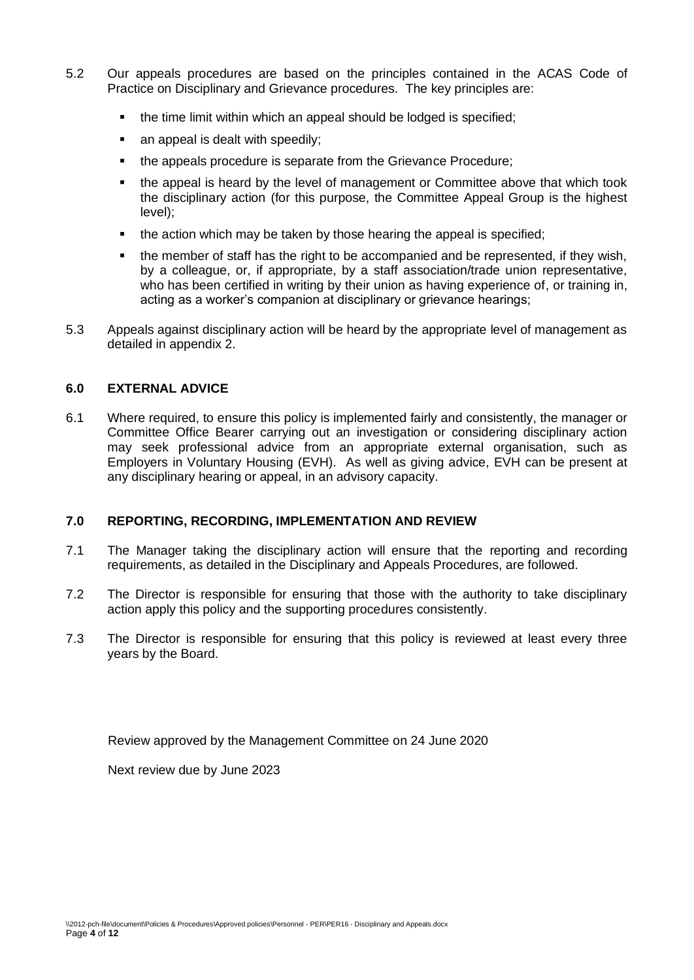- 5.2 Our appeals procedures are based on the principles contained in the ACAS Code of Practice on Disciplinary and Grievance procedures. The key principles are:
	- the time limit within which an appeal should be lodged is specified;
	- an appeal is dealt with speedily;
	- the appeals procedure is separate from the Grievance Procedure;
	- the appeal is heard by the level of management or Committee above that which took the disciplinary action (for this purpose, the Committee Appeal Group is the highest level);
	- the action which may be taken by those hearing the appeal is specified;
	- the member of staff has the right to be accompanied and be represented, if they wish, by a colleague, or, if appropriate, by a staff association/trade union representative, who has been certified in writing by their union as having experience of, or training in, acting as a worker's companion at disciplinary or grievance hearings;
- 5.3 Appeals against disciplinary action will be heard by the appropriate level of management as detailed in appendix 2.

## **6.0 EXTERNAL ADVICE**

6.1 Where required, to ensure this policy is implemented fairly and consistently, the manager or Committee Office Bearer carrying out an investigation or considering disciplinary action may seek professional advice from an appropriate external organisation, such as Employers in Voluntary Housing (EVH). As well as giving advice, EVH can be present at any disciplinary hearing or appeal, in an advisory capacity.

## **7.0 REPORTING, RECORDING, IMPLEMENTATION AND REVIEW**

- 7.1 The Manager taking the disciplinary action will ensure that the reporting and recording requirements, as detailed in the Disciplinary and Appeals Procedures, are followed.
- 7.2 The Director is responsible for ensuring that those with the authority to take disciplinary action apply this policy and the supporting procedures consistently.
- 7.3 The Director is responsible for ensuring that this policy is reviewed at least every three years by the Board.

Review approved by the Management Committee on 24 June 2020

Next review due by June 2023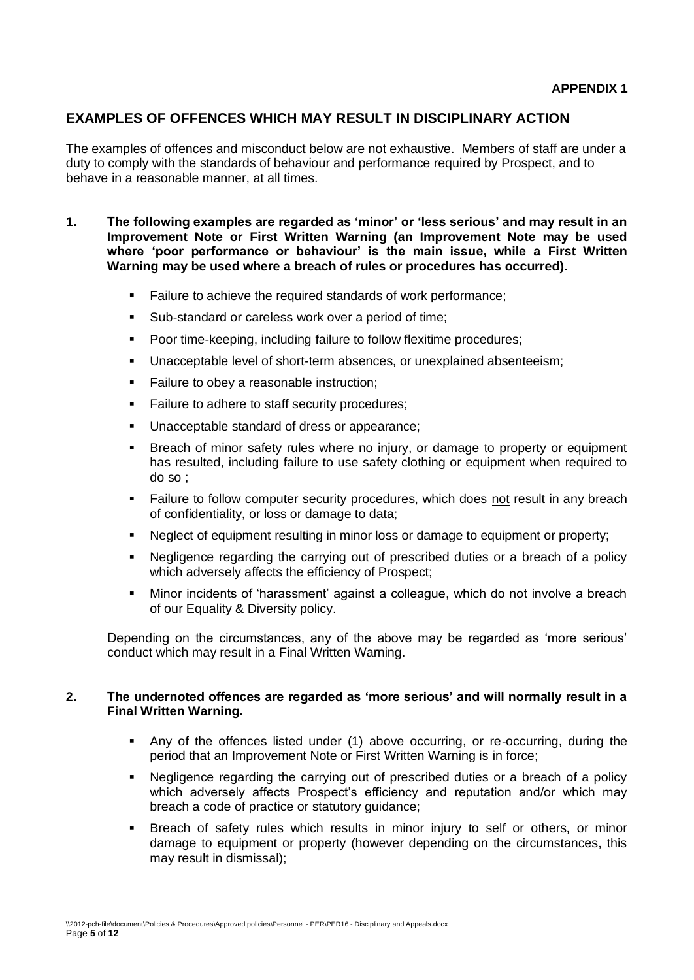# **EXAMPLES OF OFFENCES WHICH MAY RESULT IN DISCIPLINARY ACTION**

The examples of offences and misconduct below are not exhaustive. Members of staff are under a duty to comply with the standards of behaviour and performance required by Prospect, and to behave in a reasonable manner, at all times.

- **1. The following examples are regarded as 'minor' or 'less serious' and may result in an Improvement Note or First Written Warning (an Improvement Note may be used where 'poor performance or behaviour' is the main issue, while a First Written Warning may be used where a breach of rules or procedures has occurred).**
	- Failure to achieve the required standards of work performance;
	- Sub-standard or careless work over a period of time;
	- Poor time-keeping, including failure to follow flexitime procedures;
	- Unacceptable level of short-term absences, or unexplained absenteeism;
	- Failure to obey a reasonable instruction;
	- Failure to adhere to staff security procedures;
	- Unacceptable standard of dress or appearance;
	- Breach of minor safety rules where no injury, or damage to property or equipment has resulted, including failure to use safety clothing or equipment when required to do so ;
	- **EXECT Failure to follow computer security procedures, which does not result in any breach** of confidentiality, or loss or damage to data;
	- Neglect of equipment resulting in minor loss or damage to equipment or property;
	- Negligence regarding the carrying out of prescribed duties or a breach of a policy which adversely affects the efficiency of Prospect;
	- Minor incidents of 'harassment' against a colleague, which do not involve a breach of our Equality & Diversity policy.

Depending on the circumstances, any of the above may be regarded as 'more serious' conduct which may result in a Final Written Warning.

#### **2. The undernoted offences are regarded as 'more serious' and will normally result in a Final Written Warning.**

- Any of the offences listed under (1) above occurring, or re-occurring, during the period that an Improvement Note or First Written Warning is in force;
- Negligence regarding the carrying out of prescribed duties or a breach of a policy which adversely affects Prospect's efficiency and reputation and/or which may breach a code of practice or statutory guidance;
- Breach of safety rules which results in minor injury to self or others, or minor damage to equipment or property (however depending on the circumstances, this may result in dismissal);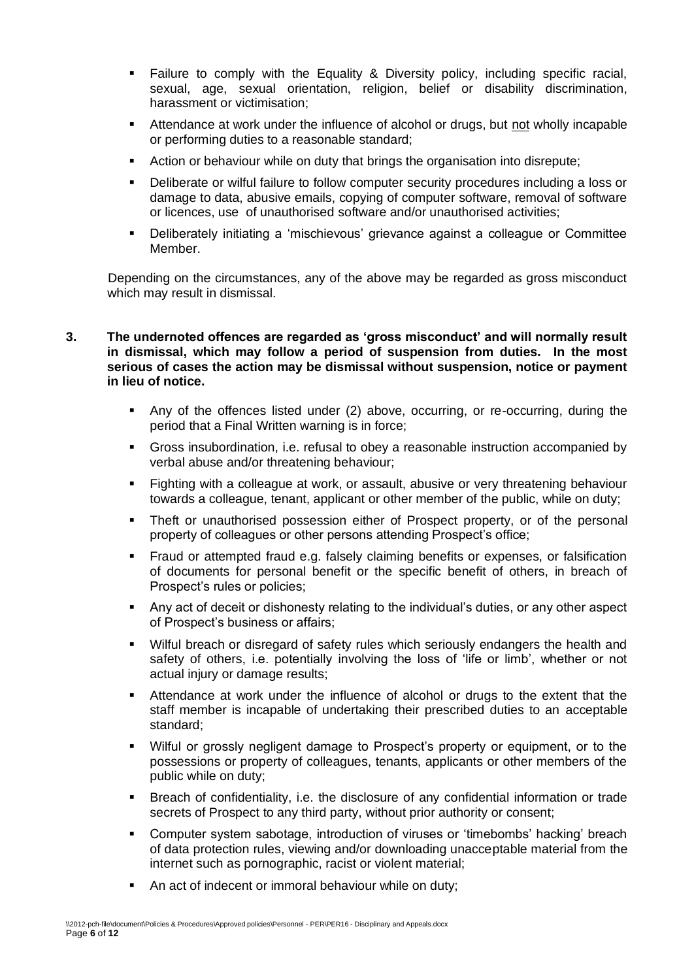- Failure to comply with the Equality & Diversity policy, including specific racial, sexual, age, sexual orientation, religion, belief or disability discrimination, harassment or victimisation;
- Attendance at work under the influence of alcohol or drugs, but not wholly incapable or performing duties to a reasonable standard;
- Action or behaviour while on duty that brings the organisation into disrepute;
- Deliberate or wilful failure to follow computer security procedures including a loss or damage to data, abusive emails, copying of computer software, removal of software or licences, use of unauthorised software and/or unauthorised activities;
- Deliberately initiating a 'mischievous' grievance against a colleague or Committee Member.

Depending on the circumstances, any of the above may be regarded as gross misconduct which may result in dismissal.

#### **3. The undernoted offences are regarded as 'gross misconduct' and will normally result in dismissal, which may follow a period of suspension from duties. In the most serious of cases the action may be dismissal without suspension, notice or payment in lieu of notice.**

- Any of the offences listed under (2) above, occurring, or re-occurring, during the period that a Final Written warning is in force;
- Gross insubordination, i.e. refusal to obey a reasonable instruction accompanied by verbal abuse and/or threatening behaviour;
- Fighting with a colleague at work, or assault, abusive or very threatening behaviour towards a colleague, tenant, applicant or other member of the public, while on duty;
- Theft or unauthorised possession either of Prospect property, or of the personal property of colleagues or other persons attending Prospect's office;
- Fraud or attempted fraud e.g. falsely claiming benefits or expenses, or falsification of documents for personal benefit or the specific benefit of others, in breach of Prospect's rules or policies;
- Any act of deceit or dishonesty relating to the individual's duties, or any other aspect of Prospect's business or affairs;
- Wilful breach or disregard of safety rules which seriously endangers the health and safety of others, i.e. potentially involving the loss of 'life or limb', whether or not actual injury or damage results;
- Attendance at work under the influence of alcohol or drugs to the extent that the staff member is incapable of undertaking their prescribed duties to an acceptable standard;
- Wilful or grossly negligent damage to Prospect's property or equipment, or to the possessions or property of colleagues, tenants, applicants or other members of the public while on duty;
- Breach of confidentiality, i.e. the disclosure of any confidential information or trade secrets of Prospect to any third party, without prior authority or consent;
- Computer system sabotage, introduction of viruses or 'timebombs' hacking' breach of data protection rules, viewing and/or downloading unacceptable material from the internet such as pornographic, racist or violent material;
- An act of indecent or immoral behaviour while on duty;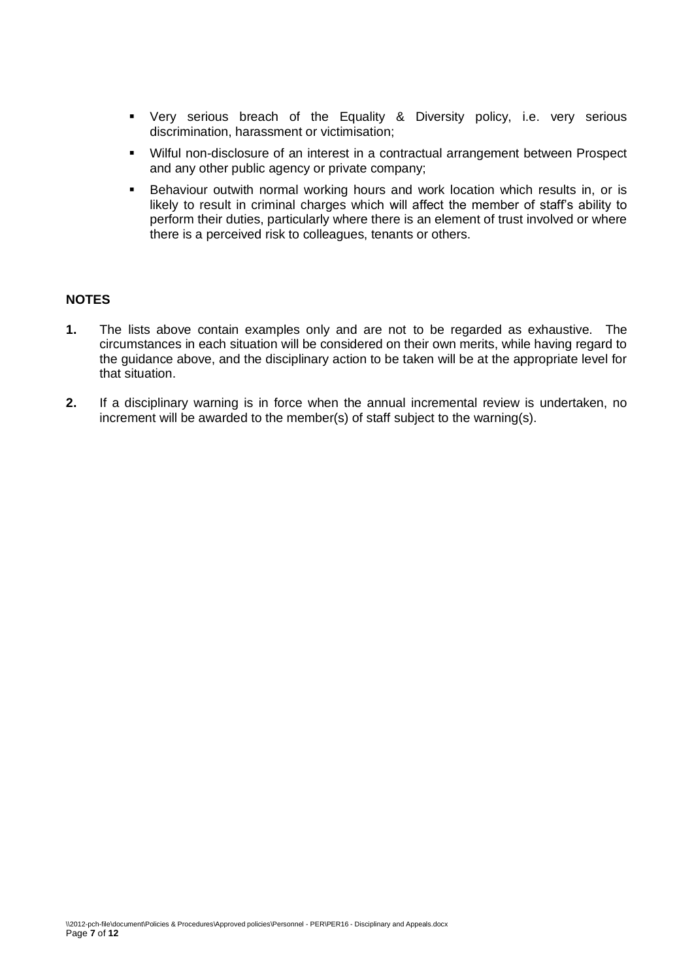- Very serious breach of the Equality & Diversity policy, i.e. very serious discrimination, harassment or victimisation;
- Wilful non-disclosure of an interest in a contractual arrangement between Prospect and any other public agency or private company;
- **EXECT** Behaviour outwith normal working hours and work location which results in, or is likely to result in criminal charges which will affect the member of staff's ability to perform their duties, particularly where there is an element of trust involved or where there is a perceived risk to colleagues, tenants or others.

## **NOTES**

- **1.** The lists above contain examples only and are not to be regarded as exhaustive. The circumstances in each situation will be considered on their own merits, while having regard to the guidance above, and the disciplinary action to be taken will be at the appropriate level for that situation.
- **2.** If a disciplinary warning is in force when the annual incremental review is undertaken, no increment will be awarded to the member(s) of staff subject to the warning(s).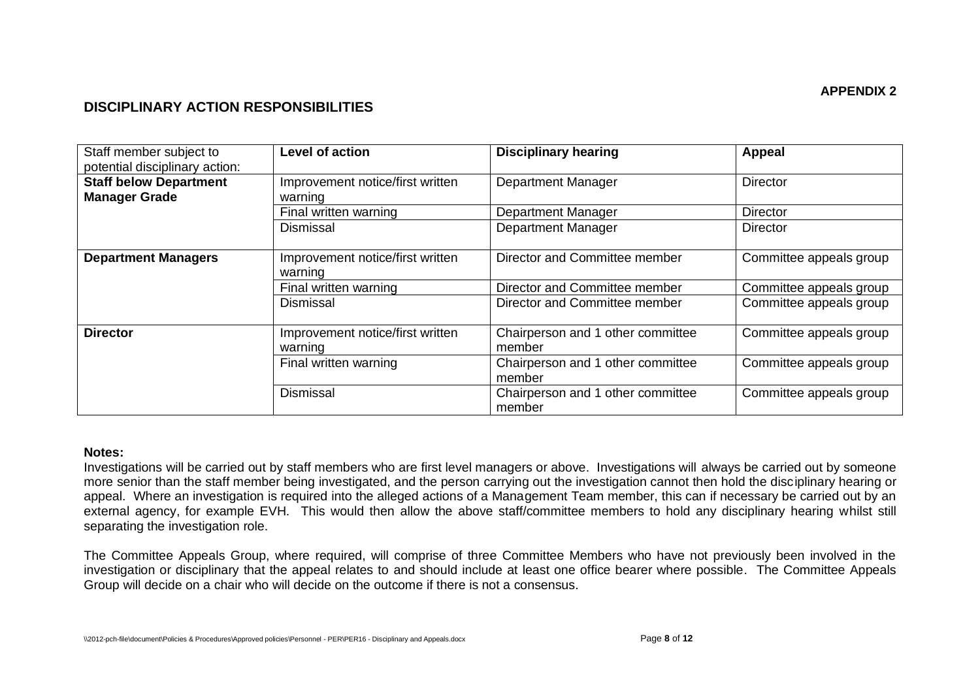# **DISCIPLINARY ACTION RESPONSIBILITIES**

| Staff member subject to<br>potential disciplinary action: | <b>Level of action</b>                      | <b>Disciplinary hearing</b>                 | Appeal                  |
|-----------------------------------------------------------|---------------------------------------------|---------------------------------------------|-------------------------|
| <b>Staff below Department</b><br><b>Manager Grade</b>     | Improvement notice/first written<br>warning | <b>Department Manager</b>                   | <b>Director</b>         |
|                                                           | Final written warning                       | <b>Department Manager</b>                   | Director                |
|                                                           | <b>Dismissal</b>                            | <b>Department Manager</b>                   | <b>Director</b>         |
| <b>Department Managers</b>                                | Improvement notice/first written<br>warning | Director and Committee member               | Committee appeals group |
|                                                           | Final written warning                       | Director and Committee member               | Committee appeals group |
|                                                           | <b>Dismissal</b>                            | Director and Committee member               | Committee appeals group |
| <b>Director</b>                                           | Improvement notice/first written<br>warning | Chairperson and 1 other committee<br>member | Committee appeals group |
|                                                           | Final written warning                       | Chairperson and 1 other committee<br>member | Committee appeals group |
|                                                           | Dismissal                                   | Chairperson and 1 other committee<br>member | Committee appeals group |

#### **Notes:**

Investigations will be carried out by staff members who are first level managers or above. Investigations will always be carried out by someone more senior than the staff member being investigated, and the person carrying out the investigation cannot then hold the disciplinary hearing or appeal. Where an investigation is required into the alleged actions of a Management Team member, this can if necessary be carried out by an external agency, for example EVH. This would then allow the above staff/committee members to hold any disciplinary hearing whilst still separating the investigation role.

The Committee Appeals Group, where required, will comprise of three Committee Members who have not previously been involved in the investigation or disciplinary that the appeal relates to and should include at least one office bearer where possible. The Committee Appeals Group will decide on a chair who will decide on the outcome if there is not a consensus.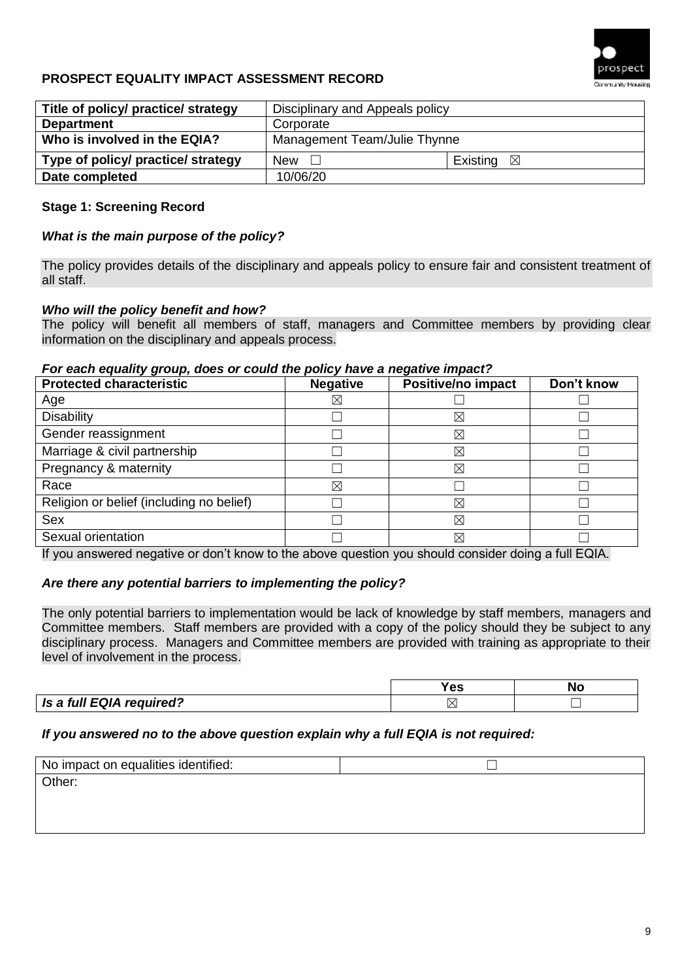

# **PROSPECT EQUALITY IMPACT ASSESSMENT RECORD**

| Title of policy/ practice/ strategy | Disciplinary and Appeals policy |                         |  |
|-------------------------------------|---------------------------------|-------------------------|--|
| <b>Department</b>                   | Corporate                       |                         |  |
| Who is involved in the EQIA?        | Management Team/Julie Thynne    |                         |  |
| Type of policy/ practice/ strategy  | <b>New</b>                      | Existing<br>$\boxtimes$ |  |
| Date completed                      | 10/06/20                        |                         |  |

## **Stage 1: Screening Record**

## *What is the main purpose of the policy?*

The policy provides details of the disciplinary and appeals policy to ensure fair and consistent treatment of all staff.

#### *Who will the policy benefit and how?*

The policy will benefit all members of staff, managers and Committee members by providing clear information on the disciplinary and appeals process.

#### *For each equality group, does or could the policy have a negative impact?*

| <b>Protected characteristic</b>          | <b>Negative</b> | Positive/no impact | Don't know |
|------------------------------------------|-----------------|--------------------|------------|
| Age                                      | $\boxtimes$     |                    |            |
| <b>Disability</b>                        |                 | $\boxtimes$        |            |
| Gender reassignment                      |                 | $\boxtimes$        |            |
| Marriage & civil partnership             |                 | $\boxtimes$        |            |
| Pregnancy & maternity                    |                 | $\boxtimes$        |            |
| Race                                     | ⊠               |                    |            |
| Religion or belief (including no belief) |                 | ⊠                  |            |
| Sex                                      |                 | $\boxtimes$        |            |
| Sexual orientation                       |                 | ⊠                  |            |

If you answered negative or don't know to the above question you should consider doing a full EQIA.

## *Are there any potential barriers to implementing the policy?*

The only potential barriers to implementation would be lack of knowledge by staff members, managers and Committee members. Staff members are provided with a copy of the policy should they be subject to any disciplinary process. Managers and Committee members are provided with training as appropriate to their level of involvement in the process.

|                          | -- |  |
|--------------------------|----|--|
| Is a full EQIA required? |    |  |

#### *If you answered no to the above question explain why a full EQIA is not required:*

| No impact on equalities identified: |  |
|-------------------------------------|--|
| Other:                              |  |
|                                     |  |
|                                     |  |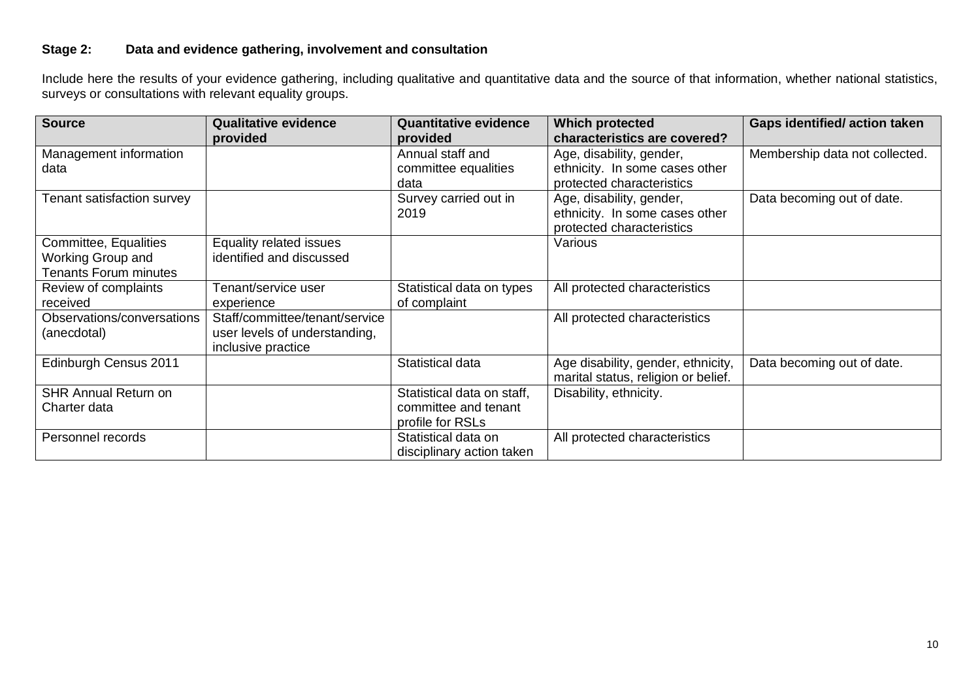# **Stage 2: Data and evidence gathering, involvement and consultation**

Include here the results of your evidence gathering, including qualitative and quantitative data and the source of that information, whether national statistics, surveys or consultations with relevant equality groups.

| <b>Source</b>                | <b>Qualitative evidence</b>    | <b>Quantitative evidence</b> | <b>Which protected</b>              | <b>Gaps identified/action taken</b> |
|------------------------------|--------------------------------|------------------------------|-------------------------------------|-------------------------------------|
|                              | provided                       | provided                     | characteristics are covered?        |                                     |
| Management information       |                                | Annual staff and             | Age, disability, gender,            | Membership data not collected.      |
| data                         |                                | committee equalities         | ethnicity. In some cases other      |                                     |
|                              |                                | data                         | protected characteristics           |                                     |
| Tenant satisfaction survey   |                                | Survey carried out in        | Age, disability, gender,            | Data becoming out of date.          |
|                              |                                | 2019                         | ethnicity. In some cases other      |                                     |
|                              |                                |                              | protected characteristics           |                                     |
| Committee, Equalities        | Equality related issues        |                              | Various                             |                                     |
| <b>Working Group and</b>     | identified and discussed       |                              |                                     |                                     |
| <b>Tenants Forum minutes</b> |                                |                              |                                     |                                     |
| Review of complaints         | Tenant/service user            | Statistical data on types    | All protected characteristics       |                                     |
| received                     | experience                     | of complaint                 |                                     |                                     |
| Observations/conversations   | Staff/committee/tenant/service |                              | All protected characteristics       |                                     |
| (anecdotal)                  | user levels of understanding,  |                              |                                     |                                     |
|                              | inclusive practice             |                              |                                     |                                     |
| Edinburgh Census 2011        |                                | Statistical data             | Age disability, gender, ethnicity,  | Data becoming out of date.          |
|                              |                                |                              | marital status, religion or belief. |                                     |
| <b>SHR Annual Return on</b>  |                                | Statistical data on staff,   | Disability, ethnicity.              |                                     |
| Charter data                 |                                | committee and tenant         |                                     |                                     |
|                              |                                | profile for RSLs             |                                     |                                     |
| Personnel records            |                                | Statistical data on          | All protected characteristics       |                                     |
|                              |                                | disciplinary action taken    |                                     |                                     |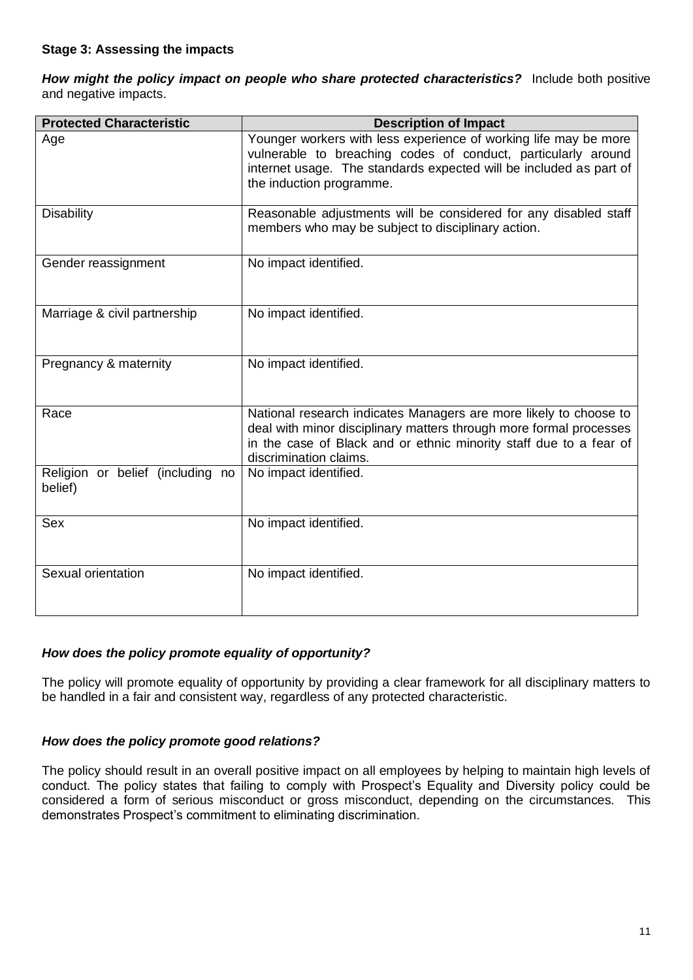*How might the policy impact on people who share protected characteristics?* Include both positive and negative impacts.

| <b>Protected Characteristic</b>             | <b>Description of Impact</b>                                                                                                                                                                                                            |
|---------------------------------------------|-----------------------------------------------------------------------------------------------------------------------------------------------------------------------------------------------------------------------------------------|
| Age                                         | Younger workers with less experience of working life may be more<br>vulnerable to breaching codes of conduct, particularly around<br>internet usage. The standards expected will be included as part of<br>the induction programme.     |
| <b>Disability</b>                           | Reasonable adjustments will be considered for any disabled staff<br>members who may be subject to disciplinary action.                                                                                                                  |
| Gender reassignment                         | No impact identified.                                                                                                                                                                                                                   |
| Marriage & civil partnership                | No impact identified.                                                                                                                                                                                                                   |
| Pregnancy & maternity                       | No impact identified.                                                                                                                                                                                                                   |
| Race                                        | National research indicates Managers are more likely to choose to<br>deal with minor disciplinary matters through more formal processes<br>in the case of Black and or ethnic minority staff due to a fear of<br>discrimination claims. |
| Religion or belief (including no<br>belief) | No impact identified.                                                                                                                                                                                                                   |
| <b>Sex</b>                                  | No impact identified.                                                                                                                                                                                                                   |
| Sexual orientation                          | No impact identified.                                                                                                                                                                                                                   |

## *How does the policy promote equality of opportunity?*

The policy will promote equality of opportunity by providing a clear framework for all disciplinary matters to be handled in a fair and consistent way, regardless of any protected characteristic.

## *How does the policy promote good relations?*

The policy should result in an overall positive impact on all employees by helping to maintain high levels of conduct. The policy states that failing to comply with Prospect's Equality and Diversity policy could be considered a form of serious misconduct or gross misconduct, depending on the circumstances. This demonstrates Prospect's commitment to eliminating discrimination.